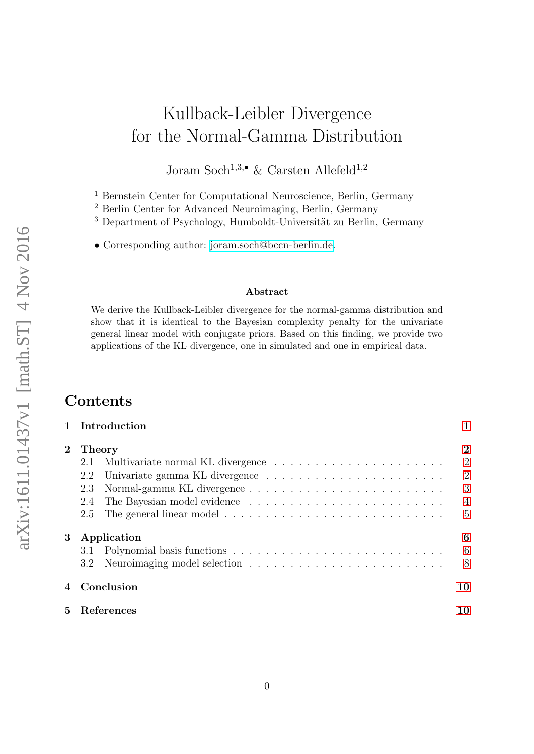# Kullback-Leibler Divergence for the Normal-Gamma Distribution

Joram Soch<br/>1,3,• & Carsten Allefeld<br/>1,2

<sup>1</sup> Bernstein Center for Computational Neuroscience, Berlin, Germany

<sup>2</sup> Berlin Center for Advanced Neuroimaging, Berlin, Germany

 $^3$  Department of Psychology, Humboldt-Universität zu Berlin, Germany

• Corresponding author: [joram.soch@bccn-berlin.de.](joram.soch@bccn-berlin.de)

#### Abstract

We derive the Kullback-Leibler divergence for the normal-gamma distribution and show that it is identical to the Bayesian complexity penalty for the univariate general linear model with conjugate priors. Based on this finding, we provide two applications of the KL divergence, one in simulated and one in empirical data.

## **Contents**

| 1 Introduction | $\mathbf{1}$   |
|----------------|----------------|
| 2 Theory       | $\overline{2}$ |
| 2.1            | $\overline{2}$ |
| 2.2            | $\overline{2}$ |
| 2.3            | 3              |
| 2.4            | $\overline{4}$ |
| 2.5            | $\overline{5}$ |
| Application    | 6              |
| 3.1            | 6              |
|                | 8              |
| 4 Conclusion   | 10             |
| 5 References   | 10             |
|                |                |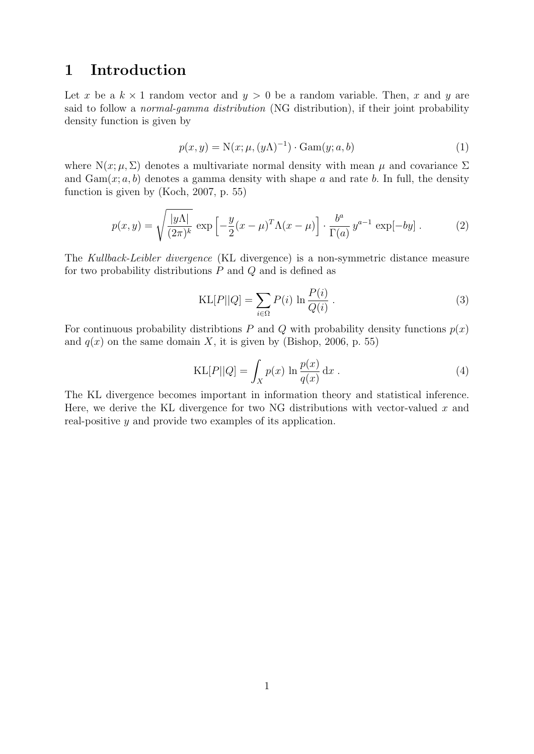### <span id="page-1-0"></span>1 Introduction

Let x be a  $k \times 1$  random vector and  $y > 0$  be a random variable. Then, x and y are said to follow a normal-gamma distribution (NG distribution), if their joint probability density function is given by

$$
p(x, y) = \mathcal{N}(x; \mu, (y\Lambda)^{-1}) \cdot \text{Gam}(y; a, b)
$$
 (1)

where  $N(x; \mu, \Sigma)$  denotes a multivariate normal density with mean  $\mu$  and covariance  $\Sigma$ and  $Gam(x; a, b)$  denotes a gamma density with shape a and rate b. In full, the density function is given by (Koch, 2007, p. 55)

$$
p(x,y) = \sqrt{\frac{|y\Lambda|}{(2\pi)^k}} \exp\left[-\frac{y}{2}(x-\mu)^T \Lambda(x-\mu)\right] \cdot \frac{b^a}{\Gamma(a)} y^{a-1} \exp[-by] \,. \tag{2}
$$

The Kullback-Leibler divergence (KL divergence) is a non-symmetric distance measure for two probability distributions  $P$  and  $Q$  and is defined as

$$
KL[P||Q] = \sum_{i \in \Omega} P(i) \ln \frac{P(i)}{Q(i)}.
$$
\n(3)

For continuous probability distribtions P and Q with probability density functions  $p(x)$ and  $q(x)$  on the same domain X, it is given by (Bishop, 2006, p. 55)

<span id="page-1-1"></span>
$$
KL[P||Q] = \int_X p(x) \ln \frac{p(x)}{q(x)} dx.
$$
 (4)

The KL divergence becomes important in information theory and statistical inference. Here, we derive the KL divergence for two NG distributions with vector-valued  $x$  and real-positive y and provide two examples of its application.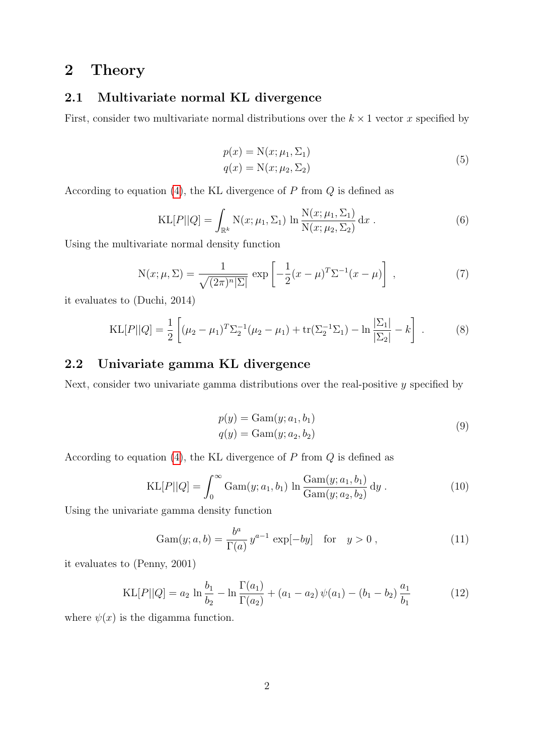## <span id="page-2-0"></span>2 Theory

#### <span id="page-2-1"></span>2.1 Multivariate normal KL divergence

First, consider two multivariate normal distributions over the  $k \times 1$  vector x specified by

$$
p(x) = N(x; \mu_1, \Sigma_1)
$$
  
 
$$
q(x) = N(x; \mu_2, \Sigma_2)
$$
 (5)

According to equation [\(4\)](#page-1-1), the KL divergence of  $P$  from  $Q$  is defined as

$$
KL[P||Q] = \int_{\mathbb{R}^k} N(x; \mu_1, \Sigma_1) \ln \frac{N(x; \mu_1, \Sigma_1)}{N(x; \mu_2, \Sigma_2)} dx.
$$
 (6)

Using the multivariate normal density function

$$
N(x; \mu, \Sigma) = \frac{1}{\sqrt{(2\pi)^n |\Sigma|}} \exp\left[-\frac{1}{2}(x-\mu)^T \Sigma^{-1} (x-\mu)\right],\tag{7}
$$

it evaluates to (Duchi, 2014)

<span id="page-2-3"></span>
$$
KL[P||Q] = \frac{1}{2} \left[ (\mu_2 - \mu_1)^T \Sigma_2^{-1} (\mu_2 - \mu_1) + \text{tr}(\Sigma_2^{-1} \Sigma_1) - \ln \frac{|\Sigma_1|}{|\Sigma_2|} - k \right].
$$
 (8)

#### <span id="page-2-2"></span>2.2 Univariate gamma KL divergence

Next, consider two univariate gamma distributions over the real-positive  $y$  specified by

$$
p(y) = \text{Gam}(y; a_1, b_1)
$$
  
 
$$
q(y) = \text{Gam}(y; a_2, b_2)
$$
 (9)

According to equation [\(4\)](#page-1-1), the KL divergence of  $P$  from  $Q$  is defined as

KL[P||Q] = 
$$
\int_0^\infty \text{Gam}(y; a_1, b_1) \ln \frac{\text{Gam}(y; a_1, b_1)}{\text{Gam}(y; a_2, b_2)} dy
$$
. (10)

Using the univariate gamma density function

Gam
$$
(y; a, b) = \frac{b^a}{\Gamma(a)} y^{a-1} \exp[-by]
$$
 for  $y > 0$ , (11)

it evaluates to (Penny, 2001)

<span id="page-2-4"></span>
$$
KL[P||Q] = a_2 \ln \frac{b_1}{b_2} - \ln \frac{\Gamma(a_1)}{\Gamma(a_2)} + (a_1 - a_2) \psi(a_1) - (b_1 - b_2) \frac{a_1}{b_1}
$$
 (12)

where  $\psi(x)$  is the digamma function.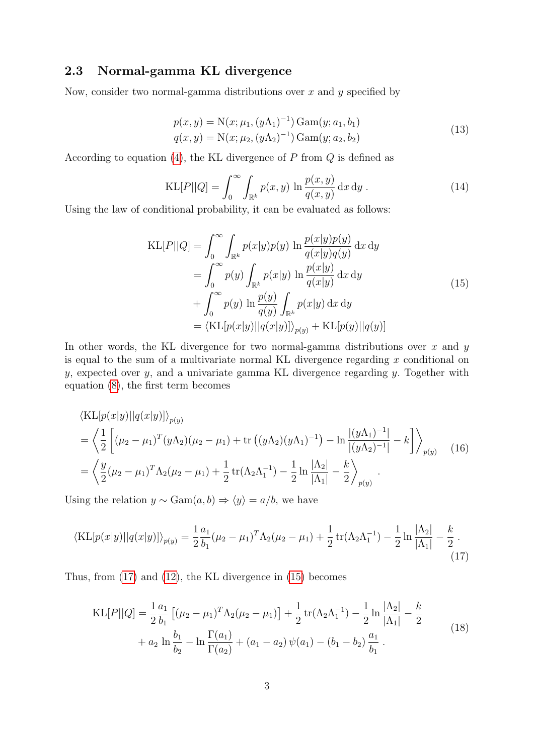#### <span id="page-3-0"></span>2.3 Normal-gamma KL divergence

Now, consider two normal-gamma distributions over  $x$  and  $y$  specified by

$$
p(x, y) = N(x; \mu_1, (y\Lambda_1)^{-1}) \text{Gam}(y; a_1, b_1)
$$
  
\n
$$
q(x, y) = N(x; \mu_2, (y\Lambda_2)^{-1}) \text{Gam}(y; a_2, b_2)
$$
\n(13)

According to equation [\(4\)](#page-1-1), the KL divergence of  $P$  from  $Q$  is defined as

$$
KL[P||Q] = \int_0^\infty \int_{\mathbb{R}^k} p(x, y) \ln \frac{p(x, y)}{q(x, y)} dx dy.
$$
 (14)

Using the law of conditional probability, it can be evaluated as follows:

$$
KL[P||Q] = \int_0^\infty \int_{\mathbb{R}^k} p(x|y)p(y) \ln \frac{p(x|y)p(y)}{q(x|y)q(y)} dx dy
$$
  
\n
$$
= \int_0^\infty p(y) \int_{\mathbb{R}^k} p(x|y) \ln \frac{p(x|y)}{q(x|y)} dx dy
$$
  
\n
$$
+ \int_0^\infty p(y) \ln \frac{p(y)}{q(y)} \int_{\mathbb{R}^k} p(x|y) dx dy
$$
  
\n
$$
= \langle KL[p(x|y)||q(x|y)] \rangle_{p(y)} + KL[p(y)||q(y)]
$$
\n(15)

<span id="page-3-2"></span>In other words, the KL divergence for two normal-gamma distributions over  $x$  and  $y$ is equal to the sum of a multivariate normal KL divergence regarding  $x$  conditional on  $y$ , expected over  $y$ , and a univariate gamma KL divergence regarding  $y$ . Together with equation [\(8\)](#page-2-3), the first term becomes

$$
\langle \mathrm{KL}[p(x|y)||q(x|y)] \rangle_{p(y)}
$$
  
=  $\left\langle \frac{1}{2} \left[ (\mu_2 - \mu_1)^T (y \Lambda_2) (\mu_2 - \mu_1) + \mathrm{tr} \left( (y \Lambda_2) (y \Lambda_1)^{-1} \right) - \ln \frac{|(y \Lambda_1)^{-1}|}{|(y \Lambda_2)^{-1}|} - k \right] \right\rangle_{p(y)}$  (16)  
=  $\left\langle \frac{y}{2} (\mu_2 - \mu_1)^T \Lambda_2 (\mu_2 - \mu_1) + \frac{1}{2} \mathrm{tr}(\Lambda_2 \Lambda_1^{-1}) - \frac{1}{2} \ln \frac{|\Lambda_2|}{|\Lambda_1|} - \frac{k}{2} \right\rangle_{p(y)}$ 

Using the relation  $y \sim \text{Gam}(a, b) \Rightarrow \langle y \rangle = a/b$ , we have

<span id="page-3-1"></span>
$$
\langle \mathrm{KL}[p(x|y)||q(x|y)] \rangle_{p(y)} = \frac{1}{2} \frac{a_1}{b_1} (\mu_2 - \mu_1)^T \Lambda_2 (\mu_2 - \mu_1) + \frac{1}{2} \operatorname{tr}(\Lambda_2 \Lambda_1^{-1}) - \frac{1}{2} \ln \frac{|\Lambda_2|}{|\Lambda_1|} - \frac{k}{2} \,. \tag{17}
$$

Thus, from [\(17\)](#page-3-1) and [\(12\)](#page-2-4), the KL divergence in [\(15\)](#page-3-2) becomes

<span id="page-3-3"></span>
$$
KL[P||Q] = \frac{1}{2} \frac{a_1}{b_1} \left[ (\mu_2 - \mu_1)^T \Lambda_2 (\mu_2 - \mu_1) \right] + \frac{1}{2} tr(\Lambda_2 \Lambda_1^{-1}) - \frac{1}{2} \ln \frac{|\Lambda_2|}{|\Lambda_1|} - \frac{k}{2}
$$
  
+  $a_2 \ln \frac{b_1}{b_2} - \ln \frac{\Gamma(a_1)}{\Gamma(a_2)} + (a_1 - a_2) \psi(a_1) - (b_1 - b_2) \frac{a_1}{b_1}$ . (18)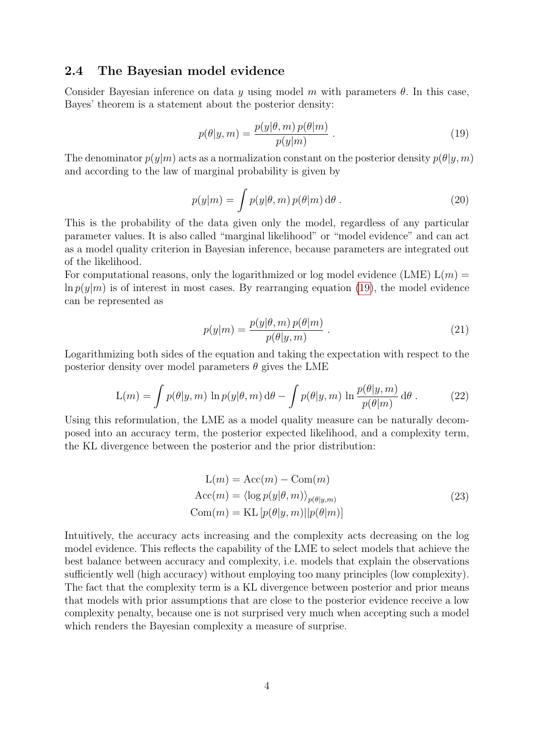#### <span id="page-4-0"></span>2.4 The Bayesian model evidence

Consider Bayesian inference on data y using model m with parameters  $\theta$ . In this case, Bayes' theorem is a statement about the posterior density:

<span id="page-4-1"></span>
$$
p(\theta|y,m) = \frac{p(y|\theta,m) p(\theta|m)}{p(y|m)}.
$$
\n(19)

The denominator  $p(y|m)$  acts as a normalization constant on the posterior density  $p(\theta|y,m)$ and according to the law of marginal probability is given by

$$
p(y|m) = \int p(y|\theta, m) p(\theta|m) d\theta.
$$
 (20)

This is the probability of the data given only the model, regardless of any particular parameter values. It is also called "marginal likelihood" or "model evidence" and can act as a model quality criterion in Bayesian inference, because parameters are integrated out of the likelihood.

For computational reasons, only the logarithmized or log model evidence (LME)  $L(m)$  =  $\ln p(y|m)$  is of interest in most cases. By rearranging equation [\(19\)](#page-4-1), the model evidence can be represented as

$$
p(y|m) = \frac{p(y|\theta, m) p(\theta|m)}{p(\theta|y, m)}.
$$
\n(21)

Logarithmizing both sides of the equation and taking the expectation with respect to the posterior density over model parameters  $\theta$  gives the LME

$$
L(m) = \int p(\theta | y, m) \ln p(y | \theta, m) d\theta - \int p(\theta | y, m) \ln \frac{p(\theta | y, m)}{p(\theta | m)} d\theta.
$$
 (22)

Using this reformulation, the LME as a model quality measure can be naturally decomposed into an accuracy term, the posterior expected likelihood, and a complexity term, the KL divergence between the posterior and the prior distribution:

$$
L(m) = Acc(m) - Com(m)
$$
  
Acc(m) =  $\langle \log p(y|\theta, m) \rangle_{p(\theta|y,m)}$   
Com(m) = KL  $[p(\theta|y, m)||p(\theta|m)]$  (23)

<span id="page-4-2"></span>Intuitively, the accuracy acts increasing and the complexity acts decreasing on the log model evidence. This reflects the capability of the LME to select models that achieve the best balance between accuracy and complexity, i.e. models that explain the observations sufficiently well (high accuracy) without employing too many principles (low complexity). The fact that the complexity term is a KL divergence between posterior and prior means that models with prior assumptions that are close to the posterior evidence receive a low complexity penalty, because one is not surprised very much when accepting such a model which renders the Bayesian complexity a measure of surprise.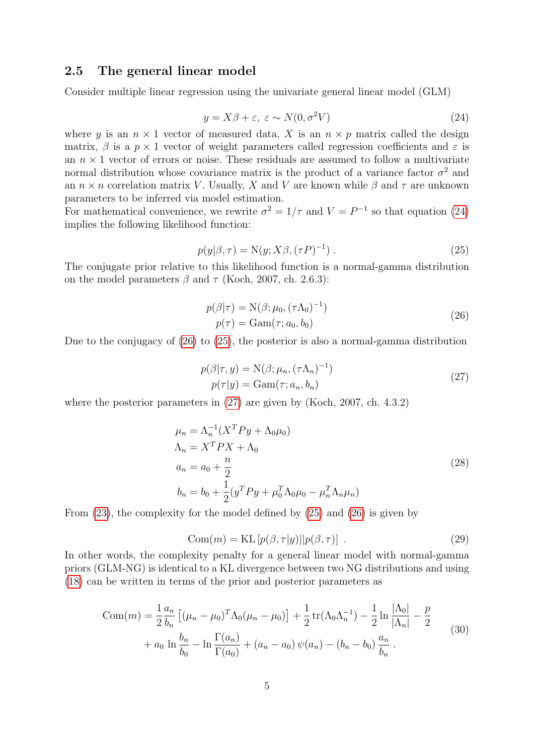#### <span id="page-5-0"></span>2.5 The general linear model

Consider multiple linear regression using the univariate general linear model (GLM)

<span id="page-5-1"></span>
$$
y = X\beta + \varepsilon, \ \varepsilon \sim N(0, \sigma^2 V) \tag{24}
$$

where y is an  $n \times 1$  vector of measured data, X is an  $n \times p$  matrix called the design matrix,  $\beta$  is a  $p \times 1$  vector of weight parameters called regression coefficients and  $\varepsilon$  is an  $n \times 1$  vector of errors or noise. These residuals are assumed to follow a multivariate normal distribution whose covariance matrix is the product of a variance factor  $\sigma^2$  and an  $n \times n$  correlation matrix V. Usually, X and V are known while  $\beta$  and  $\tau$  are unknown parameters to be inferred via model estimation.

For mathematical convenience, we rewrite  $\sigma^2 = 1/\tau$  and  $V = P^{-1}$  so that equation [\(24\)](#page-5-1) implies the following likelihood function:

<span id="page-5-3"></span>
$$
p(y|\beta,\tau) = \mathcal{N}(y; X\beta, (\tau P)^{-1}).
$$
\n(25)

The conjugate prior relative to this likelihood function is a normal-gamma distribution on the model parameters  $\beta$  and  $\tau$  (Koch, 2007, ch. 2.6.3):

$$
p(\beta|\tau) = \mathcal{N}(\beta; \mu_0, (\tau \Lambda_0)^{-1})
$$
  
 
$$
p(\tau) = \text{Gam}(\tau; a_0, b_0)
$$
 (26)

<span id="page-5-2"></span>Due to the conjugacy of [\(26\)](#page-5-2) to [\(25\)](#page-5-3), the posterior is also a normal-gamma distribution

$$
p(\beta|\tau, y) = N(\beta; \mu_n, (\tau \Lambda_n)^{-1})
$$
  
 
$$
p(\tau|y) = \text{Gam}(\tau; a_n, b_n)
$$
 (27)

<span id="page-5-4"></span>where the posterior parameters in [\(27\)](#page-5-4) are given by (Koch, 2007, ch. 4.3.2)

$$
\mu_n = \Lambda_n^{-1} (X^T P y + \Lambda_0 \mu_0) \n\Lambda_n = X^T P X + \Lambda_0 \na_n = a_0 + \frac{n}{2} \nb_n = b_0 + \frac{1}{2} (y^T P y + \mu_0^T \Lambda_0 \mu_0 - \mu_n^T \Lambda_n \mu_n)
$$
\n(28)

<span id="page-5-5"></span>From [\(23\)](#page-4-2), the complexity for the model defined by [\(25\)](#page-5-3) and [\(26\)](#page-5-2) is given by

$$
Com(m) = KL[p(\beta, \tau|y)||p(\beta, \tau)].
$$
\n(29)

In other words, the complexity penalty for a general linear model with normal-gamma priors (GLM-NG) is identical to a KL divergence between two NG distributions and using [\(18\)](#page-3-3) can be written in terms of the prior and posterior parameters as

<span id="page-5-6"></span>
$$
\text{Com}(m) = \frac{1}{2} \frac{a_n}{b_n} \left[ (\mu_n - \mu_0)^T \Lambda_0 (\mu_n - \mu_0) \right] + \frac{1}{2} \text{tr}(\Lambda_0 \Lambda_n^{-1}) - \frac{1}{2} \ln \frac{|\Lambda_0|}{|\Lambda_n|} - \frac{p}{2}
$$
  
+  $a_0 \ln \frac{b_n}{b_0} - \ln \frac{\Gamma(a_n)}{\Gamma(a_0)} + (a_n - a_0) \psi(a_n) - (b_n - b_0) \frac{a_n}{b_n}$ . (30)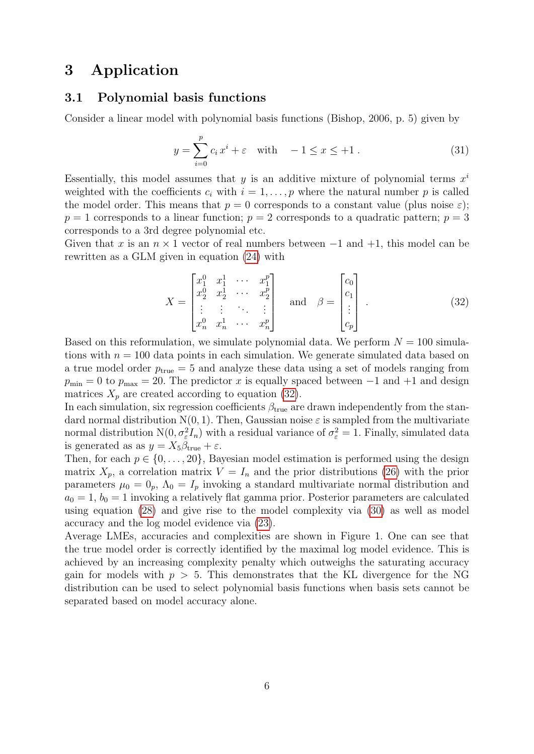### <span id="page-6-0"></span>3 Application

#### <span id="page-6-1"></span>3.1 Polynomial basis functions

Consider a linear model with polynomial basis functions (Bishop, 2006, p. 5) given by

$$
y = \sum_{i=0}^{p} c_i x^i + \varepsilon \quad \text{with} \quad -1 \le x \le +1.
$$
 (31)

Essentially, this model assumes that  $y$  is an additive mixture of polynomial terms  $x^i$ weighted with the coefficients  $c_i$  with  $i = 1, \ldots, p$  where the natural number p is called the model order. This means that  $p = 0$  corresponds to a constant value (plus noise  $\varepsilon$ );  $p = 1$  corresponds to a linear function;  $p = 2$  corresponds to a quadratic pattern;  $p = 3$ corresponds to a 3rd degree polynomial etc.

Given that x is an  $n \times 1$  vector of real numbers between  $-1$  and  $+1$ , this model can be rewritten as a GLM given in equation [\(24\)](#page-5-1) with

<span id="page-6-2"></span>
$$
X = \begin{bmatrix} x_1^0 & x_1^1 & \cdots & x_1^p \\ x_2^0 & x_2^1 & \cdots & x_2^p \\ \vdots & \vdots & \ddots & \vdots \\ x_n^0 & x_n^1 & \cdots & x_n^p \end{bmatrix} \text{ and } \beta = \begin{bmatrix} c_0 \\ c_1 \\ \vdots \\ c_p \end{bmatrix} .
$$
 (32)

Based on this reformulation, we simulate polynomial data. We perform  $N = 100$  simulations with  $n = 100$  data points in each simulation. We generate simulated data based on a true model order  $p_{true} = 5$  and analyze these data using a set of models ranging from  $p_{\min} = 0$  to  $p_{\max} = 20$ . The predictor x is equally spaced between  $-1$  and  $+1$  and design matrices  $X_p$  are created according to equation [\(32\)](#page-6-2).

In each simulation, six regression coefficients  $\beta_{true}$  are drawn independently from the standard normal distribution  $N(0, 1)$ . Then, Gaussian noise  $\varepsilon$  is sampled from the multivariate normal distribution  $N(0, \sigma_{\varepsilon}^2 I_n)$  with a residual variance of  $\sigma_{\varepsilon}^2 = 1$ . Finally, simulated data is generated as as  $y = X_5 \beta_{\text{true}} + \varepsilon$ .

Then, for each  $p \in \{0, \ldots, 20\}$ , Bayesian model estimation is performed using the design matrix  $X_p$ , a correlation matrix  $V = I_n$  and the prior distributions [\(26\)](#page-5-2) with the prior parameters  $\mu_0 = 0_p$ ,  $\Lambda_0 = I_p$  invoking a standard multivariate normal distribution and  $a_0 = 1$ ,  $b_0 = 1$  invoking a relatively flat gamma prior. Posterior parameters are calculated using equation [\(28\)](#page-5-5) and give rise to the model complexity via [\(30\)](#page-5-6) as well as model accuracy and the log model evidence via [\(23\)](#page-4-2).

Average LMEs, accuracies and complexities are shown in Figure 1. One can see that the true model order is correctly identified by the maximal log model evidence. This is achieved by an increasing complexity penalty which outweighs the saturating accuracy gain for models with  $p > 5$ . This demonstrates that the KL divergence for the NG distribution can be used to select polynomial basis functions when basis sets cannot be separated based on model accuracy alone.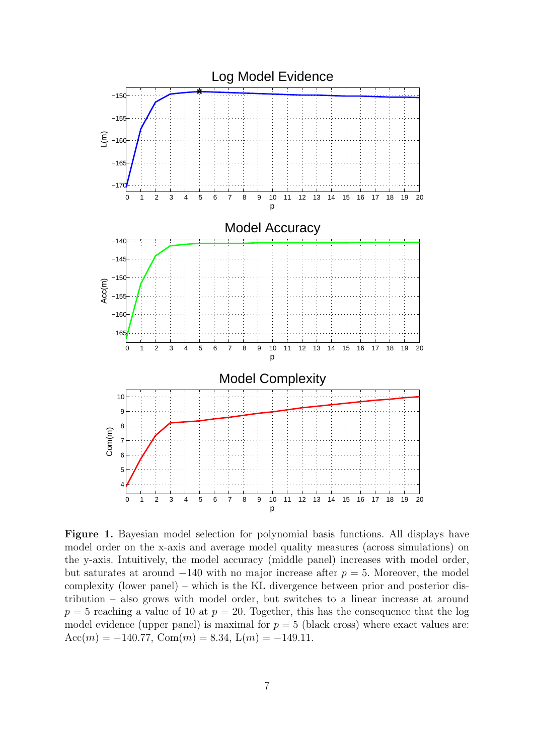

Figure 1. Bayesian model selection for polynomial basis functions. All displays have model order on the x-axis and average model quality measures (across simulations) on the y-axis. Intuitively, the model accuracy (middle panel) increases with model order, but saturates at around  $-140$  with no major increase after  $p = 5$ . Moreover, the model complexity (lower panel) – which is the KL divergence between prior and posterior distribution – also grows with model order, but switches to a linear increase at around  $p = 5$  reaching a value of 10 at  $p = 20$ . Together, this has the consequence that the log model evidence (upper panel) is maximal for  $p = 5$  (black cross) where exact values are:  $Acc(m) = -140.77$ ,  $Com(m) = 8.34$ ,  $L(m) = -149.11$ .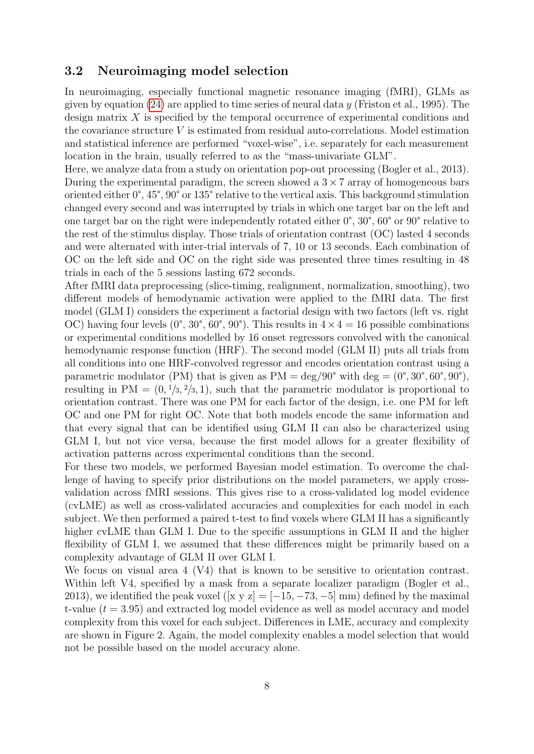#### <span id="page-8-0"></span>3.2 Neuroimaging model selection

In neuroimaging, especially functional magnetic resonance imaging (fMRI), GLMs as given by equation [\(24\)](#page-5-1) are applied to time series of neural data  $\gamma$  (Friston et al., 1995). The design matrix X is specified by the temporal occurrence of experimental conditions and the covariance structure V is estimated from residual auto-correlations. Model estimation and statistical inference are performed "voxel-wise", i.e. separately for each measurement location in the brain, usually referred to as the "mass-univariate GLM".

Here, we analyze data from a study on orientation pop-out processing (Bogler et al., 2013). During the experimental paradigm, the screen showed a  $3 \times 7$  array of homogeneous bars oriented either 0°, 45°, 90° or 135° relative to the vertical axis. This background stimulation changed every second and was interrupted by trials in which one target bar on the left and one target bar on the right were independently rotated either 0°, 30°, 60° or 90° relative to the rest of the stimulus display. Those trials of orientation contrast (OC) lasted 4 seconds and were alternated with inter-trial intervals of 7, 10 or 13 seconds. Each combination of OC on the left side and OC on the right side was presented three times resulting in 48 trials in each of the 5 sessions lasting 672 seconds.

After fMRI data preprocessing (slice-timing, realignment, normalization, smoothing), two different models of hemodynamic activation were applied to the fMRI data. The first model (GLM I) considers the experiment a factorial design with two factors (left vs. right OC) having four levels  $(0^{\circ}, 30^{\circ}, 60^{\circ}, 90^{\circ})$ . This results in  $4 \times 4 = 16$  possible combinations or experimental conditions modelled by 16 onset regressors convolved with the canonical hemodynamic response function (HRF). The second model (GLM II) puts all trials from all conditions into one HRF-convolved regressor and encodes orientation contrast using a parametric modulator (PM) that is given as  $PM = \frac{deg}{90^{\circ}}$  with  $\text{deg} = (0^{\circ}, 30^{\circ}, 60^{\circ}, 90^{\circ})$ , resulting in  $PM = (0, \frac{1}{3}, \frac{2}{3}, 1)$ , such that the parametric modulator is proportional to orientation contrast. There was one PM for each factor of the design, i.e. one PM for left OC and one PM for right OC. Note that both models encode the same information and that every signal that can be identified using GLM II can also be characterized using GLM I, but not vice versa, because the first model allows for a greater flexibility of activation patterns across experimental conditions than the second.

For these two models, we performed Bayesian model estimation. To overcome the challenge of having to specify prior distributions on the model parameters, we apply crossvalidation across fMRI sessions. This gives rise to a cross-validated log model evidence (cvLME) as well as cross-validated accuracies and complexities for each model in each subject. We then performed a paired t-test to find voxels where GLM II has a significantly higher cvLME than GLM I. Due to the specific assumptions in GLM II and the higher flexibility of GLM I, we assumed that these differences might be primarily based on a complexity advantage of GLM II over GLM I.

We focus on visual area 4 (V4) that is known to be sensitive to orientation contrast. Within left V4, specified by a mask from a separate localizer paradigm (Bogler et al., 2013), we identified the peak voxel ([x y z] =  $[-15, -73, -5]$  mm) defined by the maximal t-value  $(t = 3.95)$  and extracted log model evidence as well as model accuracy and model complexity from this voxel for each subject. Differences in LME, accuracy and complexity are shown in Figure 2. Again, the model complexity enables a model selection that would not be possible based on the model accuracy alone.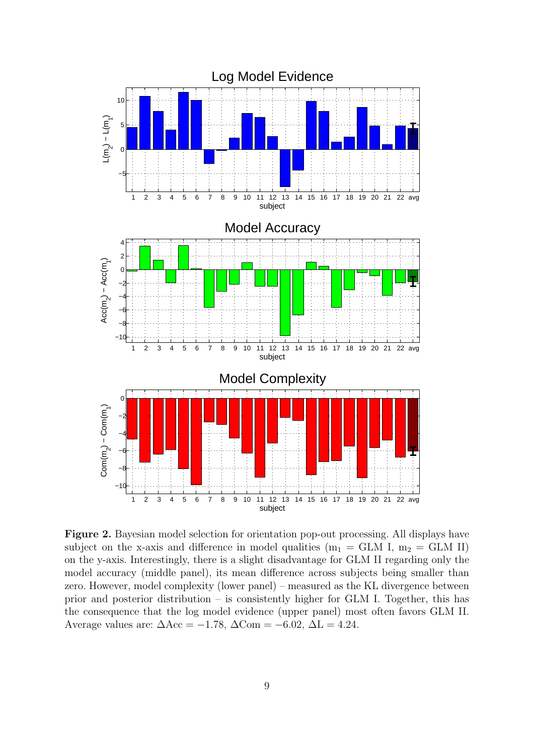

Figure 2. Bayesian model selection for orientation pop-out processing. All displays have subject on the x-axis and difference in model qualities ( $m_1 = GLM$  I,  $m_2 = GLM$  II) on the y-axis. Interestingly, there is a slight disadvantage for GLM II regarding only the model accuracy (middle panel), its mean difference across subjects being smaller than zero. However, model complexity (lower panel) – measured as the KL divergence between prior and posterior distribution – is consistently higher for GLM I. Together, this has the consequence that the log model evidence (upper panel) most often favors GLM II. Average values are:  $\Delta Acc = -1.78$ ,  $\Delta Com = -6.02$ ,  $\Delta L = 4.24$ .